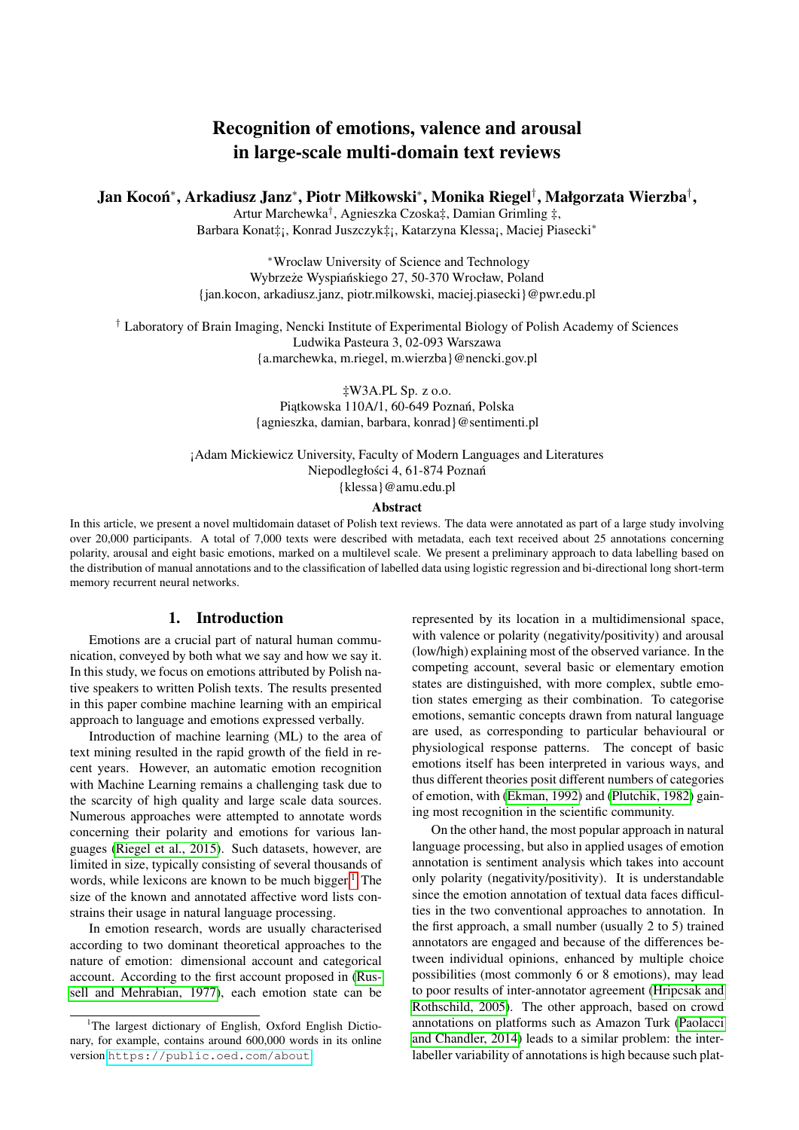# Recognition of emotions, valence and arousal in large-scale multi-domain text reviews

Jan Kocoń\*, Arkadiusz Janz\*, Piotr Miłkowski\*, Monika Riegel†, Małgorzata Wierzba<sup>†</sup>,

Artur Marchewka† , Agnieszka Czoska‡, Damian Grimling ‡, Barbara Konat‡¡, Konrad Juszczyk‡¡, Katarzyna Klessa¡, Maciej Piasecki<sup>∗</sup>

<sup>∗</sup>Wroclaw University of Science and Technology Wybrzeże Wyspiańskiego 27, 50-370 Wrocław, Poland {jan.kocon, arkadiusz.janz, piotr.milkowski, maciej.piasecki}@pwr.edu.pl

† Laboratory of Brain Imaging, Nencki Institute of Experimental Biology of Polish Academy of Sciences Ludwika Pasteura 3, 02-093 Warszawa {a.marchewka, m.riegel, m.wierzba}@nencki.gov.pl

> ‡W3A.PL Sp. z o.o. Piatkowska 110A/1, 60-649 Poznań, Polska {agnieszka, damian, barbara, konrad}@sentimenti.pl

¡Adam Mickiewicz University, Faculty of Modern Languages and Literatures Niepodległości 4, 61-874 Poznań {klessa}@amu.edu.pl

#### Abstract

In this article, we present a novel multidomain dataset of Polish text reviews. The data were annotated as part of a large study involving over 20,000 participants. A total of 7,000 texts were described with metadata, each text received about 25 annotations concerning polarity, arousal and eight basic emotions, marked on a multilevel scale. We present a preliminary approach to data labelling based on the distribution of manual annotations and to the classification of labelled data using logistic regression and bi-directional long short-term memory recurrent neural networks.

# 1. Introduction

Emotions are a crucial part of natural human communication, conveyed by both what we say and how we say it. In this study, we focus on emotions attributed by Polish native speakers to written Polish texts. The results presented in this paper combine machine learning with an empirical approach to language and emotions expressed verbally.

Introduction of machine learning (ML) to the area of text mining resulted in the rapid growth of the field in recent years. However, an automatic emotion recognition with Machine Learning remains a challenging task due to the scarcity of high quality and large scale data sources. Numerous approaches were attempted to annotate words concerning their polarity and emotions for various languages [\(Riegel et al., 2015\)](#page-6-0). Such datasets, however, are limited in size, typically consisting of several thousands of words, while lexicons are known to be much bigger.<sup>[1](#page-0-0)</sup> The size of the known and annotated affective word lists constrains their usage in natural language processing.

In emotion research, words are usually characterised according to two dominant theoretical approaches to the nature of emotion: dimensional account and categorical account. According to the first account proposed in [\(Rus](#page-6-1)[sell and Mehrabian, 1977\)](#page-6-1), each emotion state can be represented by its location in a multidimensional space, with valence or polarity (negativity/positivity) and arousal (low/high) explaining most of the observed variance. In the competing account, several basic or elementary emotion states are distinguished, with more complex, subtle emotion states emerging as their combination. To categorise emotions, semantic concepts drawn from natural language are used, as corresponding to particular behavioural or physiological response patterns. The concept of basic emotions itself has been interpreted in various ways, and thus different theories posit different numbers of categories of emotion, with [\(Ekman, 1992\)](#page-5-0) and [\(Plutchik, 1982\)](#page-6-2) gaining most recognition in the scientific community.

On the other hand, the most popular approach in natural language processing, but also in applied usages of emotion annotation is sentiment analysis which takes into account only polarity (negativity/positivity). It is understandable since the emotion annotation of textual data faces difficulties in the two conventional approaches to annotation. In the first approach, a small number (usually 2 to 5) trained annotators are engaged and because of the differences between individual opinions, enhanced by multiple choice possibilities (most commonly 6 or 8 emotions), may lead to poor results of inter-annotator agreement [\(Hripcsak and](#page-5-1) [Rothschild, 2005\)](#page-5-1). The other approach, based on crowd annotations on platforms such as Amazon Turk [\(Paolacci](#page-6-3) [and Chandler, 2014\)](#page-6-3) leads to a similar problem: the interlabeller variability of annotations is high because such plat-

<span id="page-0-0"></span><sup>&</sup>lt;sup>1</sup>The largest dictionary of English, Oxford English Dictionary, for example, contains around 600,000 words in its online version <https://public.oed.com/about>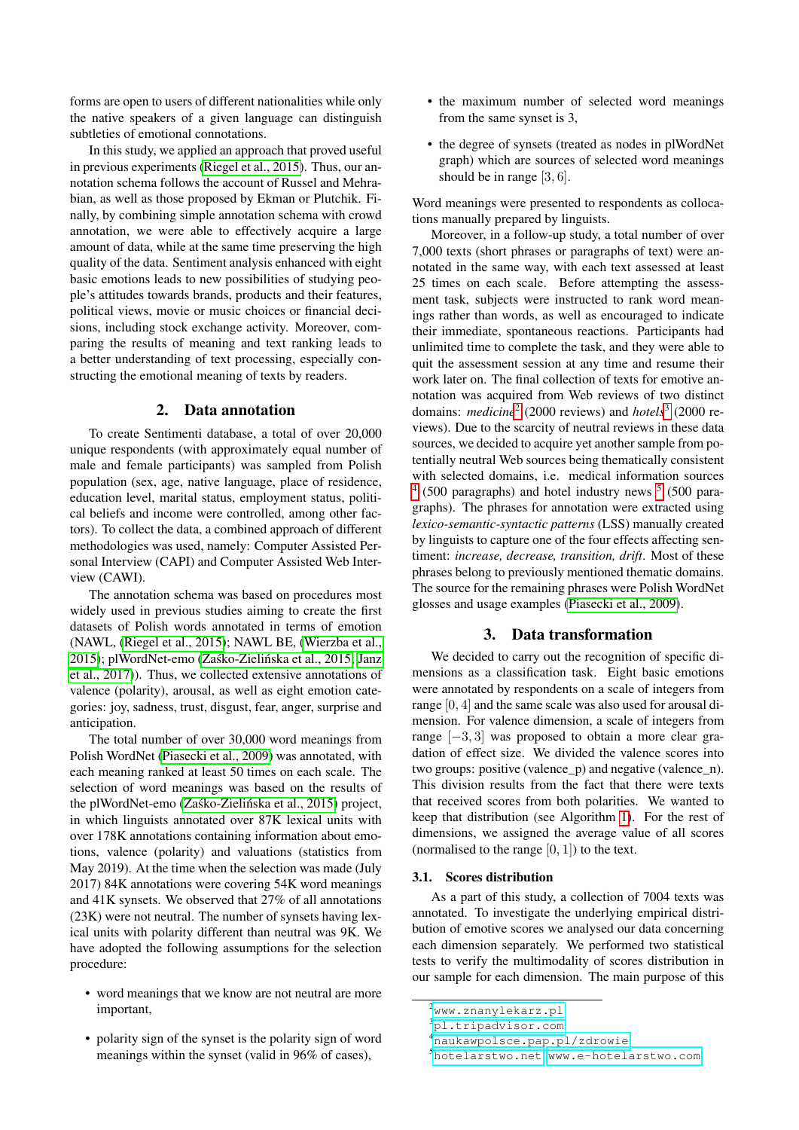forms are open to users of different nationalities while only the native speakers of a given language can distinguish subtleties of emotional connotations.

In this study, we applied an approach that proved useful in previous experiments [\(Riegel et al., 2015\)](#page-6-0). Thus, our annotation schema follows the account of Russel and Mehrabian, as well as those proposed by Ekman or Plutchik. Finally, by combining simple annotation schema with crowd annotation, we were able to effectively acquire a large amount of data, while at the same time preserving the high quality of the data. Sentiment analysis enhanced with eight basic emotions leads to new possibilities of studying people's attitudes towards brands, products and their features, political views, movie or music choices or financial decisions, including stock exchange activity. Moreover, comparing the results of meaning and text ranking leads to a better understanding of text processing, especially constructing the emotional meaning of texts by readers.

## 2. Data annotation

To create Sentimenti database, a total of over 20,000 unique respondents (with approximately equal number of male and female participants) was sampled from Polish population (sex, age, native language, place of residence, education level, marital status, employment status, political beliefs and income were controlled, among other factors). To collect the data, a combined approach of different methodologies was used, namely: Computer Assisted Personal Interview (CAPI) and Computer Assisted Web Interview (CAWI).

The annotation schema was based on procedures most widely used in previous studies aiming to create the first datasets of Polish words annotated in terms of emotion (NAWL, [\(Riegel et al., 2015\)](#page-6-0); NAWL BE, [\(Wierzba et al.,](#page-6-4) [2015\)](#page-6-4); plWordNet-emo (Zaśko-Zielińska et al., 2015; [Janz](#page-5-2) [et al., 2017\)](#page-5-2)). Thus, we collected extensive annotations of valence (polarity), arousal, as well as eight emotion categories: joy, sadness, trust, disgust, fear, anger, surprise and anticipation.

The total number of over 30,000 word meanings from Polish WordNet [\(Piasecki et al., 2009\)](#page-6-6) was annotated, with each meaning ranked at least 50 times on each scale. The selection of word meanings was based on the results of the plWordNet-emo (Zaśko-Zielińska et al., 2015) project, in which linguists annotated over 87K lexical units with over 178K annotations containing information about emotions, valence (polarity) and valuations (statistics from May 2019). At the time when the selection was made (July 2017) 84K annotations were covering 54K word meanings and 41K synsets. We observed that 27% of all annotations (23K) were not neutral. The number of synsets having lexical units with polarity different than neutral was 9K. We have adopted the following assumptions for the selection procedure:

- word meanings that we know are not neutral are more important,
- polarity sign of the synset is the polarity sign of word meanings within the synset (valid in 96% of cases),
- the maximum number of selected word meanings from the same synset is 3,
- the degree of synsets (treated as nodes in plWordNet graph) which are sources of selected word meanings should be in range [3, 6].

Word meanings were presented to respondents as collocations manually prepared by linguists.

Moreover, in a follow-up study, a total number of over 7,000 texts (short phrases or paragraphs of text) were annotated in the same way, with each text assessed at least 25 times on each scale. Before attempting the assessment task, subjects were instructed to rank word meanings rather than words, as well as encouraged to indicate their immediate, spontaneous reactions. Participants had unlimited time to complete the task, and they were able to quit the assessment session at any time and resume their work later on. The final collection of texts for emotive annotation was acquired from Web reviews of two distinct domains: *medicine*<sup>[2](#page-1-0)</sup> (2000 reviews) and *hotels*<sup>[3](#page-1-1)</sup> (2000 reviews). Due to the scarcity of neutral reviews in these data sources, we decided to acquire yet another sample from potentially neutral Web sources being thematically consistent with selected domains, i.e. medical information sources  $4$  ([5](#page-1-3)00 paragraphs) and hotel industry news  $5$  (500 paragraphs). The phrases for annotation were extracted using *lexico-semantic-syntactic patterns* (LSS) manually created by linguists to capture one of the four effects affecting sentiment: *increase, decrease, transition, drift*. Most of these phrases belong to previously mentioned thematic domains. The source for the remaining phrases were Polish WordNet glosses and usage examples [\(Piasecki et al., 2009\)](#page-6-6).

### 3. Data transformation

We decided to carry out the recognition of specific dimensions as a classification task. Eight basic emotions were annotated by respondents on a scale of integers from range [0, 4] and the same scale was also used for arousal dimension. For valence dimension, a scale of integers from range [−3, 3] was proposed to obtain a more clear gradation of effect size. We divided the valence scores into two groups: positive (valence\_p) and negative (valence\_n). This division results from the fact that there were texts that received scores from both polarities. We wanted to keep that distribution (see Algorithm [1\)](#page-2-0). For the rest of dimensions, we assigned the average value of all scores (normalised to the range  $[0, 1]$ ) to the text.

#### 3.1. Scores distribution

As a part of this study, a collection of 7004 texts was annotated. To investigate the underlying empirical distribution of emotive scores we analysed our data concerning each dimension separately. We performed two statistical tests to verify the multimodality of scores distribution in our sample for each dimension. The main purpose of this

<span id="page-1-0"></span><sup>2</sup><www.znanylekarz.pl>

<span id="page-1-1"></span><sup>3</sup><pl.tripadvisor.com>

<span id="page-1-2"></span><sup>4</sup><naukawpolsce.pap.pl/zdrowie>

<span id="page-1-3"></span><sup>5</sup><hotelarstwo.net>, <www.e-hotelarstwo.com>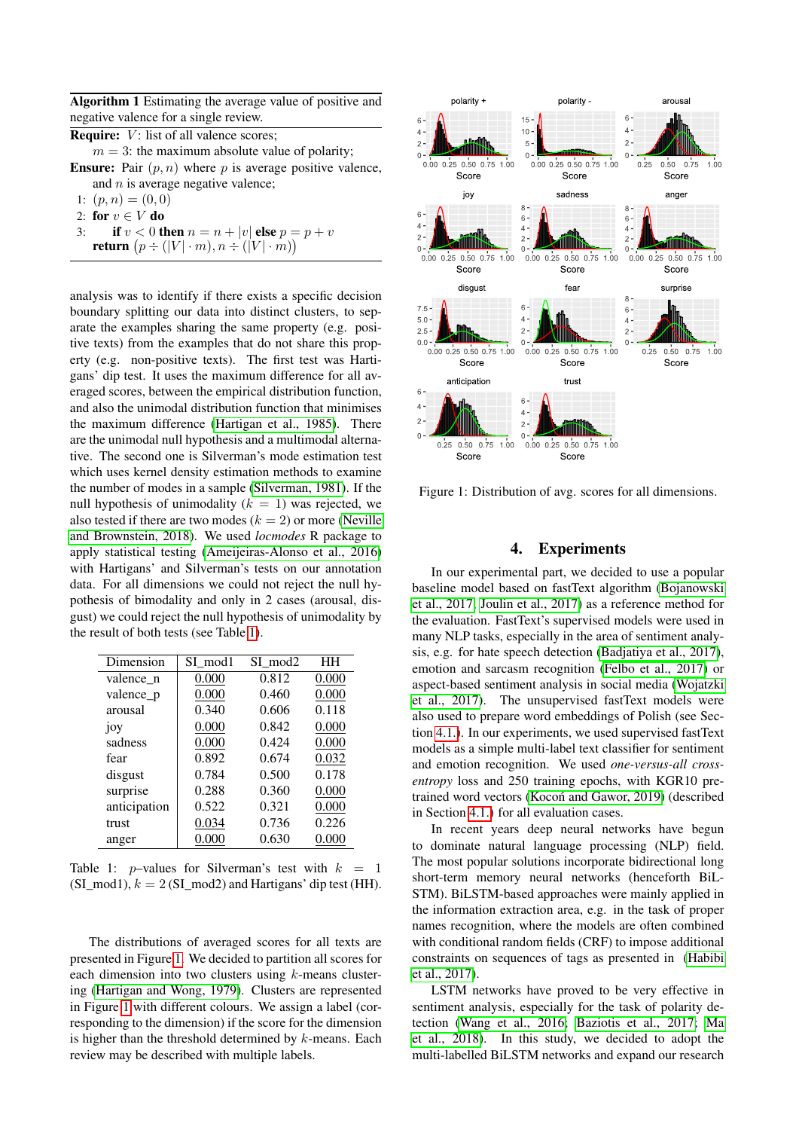<span id="page-2-0"></span>Algorithm 1 Estimating the average value of positive and negative valence for a single review.

**Require:**  $V$ : list of all valence scores;

 $m = 3$ : the maximum absolute value of polarity;

**Ensure:** Pair  $(p, n)$  where p is average positive valence, and  $n$  is average negative valence;

- 1:  $(p, n) = (0, 0)$
- 2: for  $v \in V$  do
- 3: **if**  $v < 0$  then  $n = n + |v|$  else  $p = p + v$ **return**  $(p \div (|V| \cdot m), n \div (|V| \cdot m))$

analysis was to identify if there exists a specific decision boundary splitting our data into distinct clusters, to separate the examples sharing the same property (e.g. positive texts) from the examples that do not share this property (e.g. non-positive texts). The first test was Hartigans' dip test. It uses the maximum difference for all averaged scores, between the empirical distribution function, and also the unimodal distribution function that minimises the maximum difference [\(Hartigan et al., 1985\)](#page-5-3). There are the unimodal null hypothesis and a multimodal alternative. The second one is Silverman's mode estimation test which uses kernel density estimation methods to examine the number of modes in a sample [\(Silverman, 1981\)](#page-6-7). If the null hypothesis of unimodality  $(k = 1)$  was rejected, we also tested if there are two modes  $(k = 2)$  or more [\(Neville](#page-6-8) [and Brownstein, 2018\)](#page-6-8). We used *locmodes* R package to apply statistical testing [\(Ameijeiras-Alonso et al., 2016\)](#page-4-0) with Hartigans' and Silverman's tests on our annotation data. For all dimensions we could not reject the null hypothesis of bimodality and only in 2 cases (arousal, disgust) we could reject the null hypothesis of unimodality by the result of both tests (see Table [1\)](#page-2-1).

| Dimension    | SI mod1 | SI mod2 | HH    |
|--------------|---------|---------|-------|
| valence_n    | 0.000   | 0.812   | 0.000 |
| valence_p    | 0.000   | 0.460   | 0.000 |
| arousal      | 0.340   | 0.606   | 0.118 |
| joy          | 0.000   | 0.842   | 0.000 |
| sadness      | 0.000   | 0.424   | 0.000 |
| fear         | 0.892   | 0.674   | 0.032 |
| disgust      | 0.784   | 0.500   | 0.178 |
| surprise     | 0.288   | 0.360   | 0.000 |
| anticipation | 0.522   | 0.321   | 0.000 |
| trust        | 0.034   | 0.736   | 0.226 |
| anger        | 0.000   | 0.630   | 0.000 |

<span id="page-2-1"></span>Table 1: *p*-values for Silverman's test with  $k = 1$  $(SI_{mod}1), k = 2(SI_{mod}2)$  and Hartigans' dip test (HH).

The distributions of averaged scores for all texts are presented in Figure [1.](#page-2-2) We decided to partition all scores for each dimension into two clusters using  $k$ -means clustering [\(Hartigan and Wong, 1979\)](#page-5-4). Clusters are represented in Figure [1](#page-2-2) with different colours. We assign a label (corresponding to the dimension) if the score for the dimension is higher than the threshold determined by  $k$ -means. Each review may be described with multiple labels.



<span id="page-2-2"></span>Figure 1: Distribution of avg. scores for all dimensions.

# 4. Experiments

In our experimental part, we decided to use a popular baseline model based on fastText algorithm [\(Bojanowski](#page-5-5) [et al., 2017;](#page-5-5) [Joulin et al., 2017\)](#page-6-9) as a reference method for the evaluation. FastText's supervised models were used in many NLP tasks, especially in the area of sentiment analysis, e.g. for hate speech detection [\(Badjatiya et al., 2017\)](#page-5-6), emotion and sarcasm recognition [\(Felbo et al., 2017\)](#page-5-7) or aspect-based sentiment analysis in social media [\(Wojatzki](#page-6-10) [et al., 2017\)](#page-6-10). The unsupervised fastText models were also used to prepare word embeddings of Polish (see Section [4.1.\)](#page-3-0). In our experiments, we used supervised fastText models as a simple multi-label text classifier for sentiment and emotion recognition. We used *one-versus-all crossentropy* loss and 250 training epochs, with KGR10 pretrained word vectors (Kocoń and Gawor, 2019) (described in Section [4.1.\)](#page-3-0) for all evaluation cases.

In recent years deep neural networks have begun to dominate natural language processing (NLP) field. The most popular solutions incorporate bidirectional long short-term memory neural networks (henceforth BiL-STM). BiLSTM-based approaches were mainly applied in the information extraction area, e.g. in the task of proper names recognition, where the models are often combined with conditional random fields (CRF) to impose additional constraints on sequences of tags as presented in [\(Habibi](#page-5-8) [et al., 2017\)](#page-5-8).

LSTM networks have proved to be very effective in sentiment analysis, especially for the task of polarity detection [\(Wang et al., 2016;](#page-6-12) [Baziotis et al., 2017;](#page-5-9) [Ma](#page-6-13) [et al., 2018\)](#page-6-13). In this study, we decided to adopt the multi-labelled BiLSTM networks and expand our research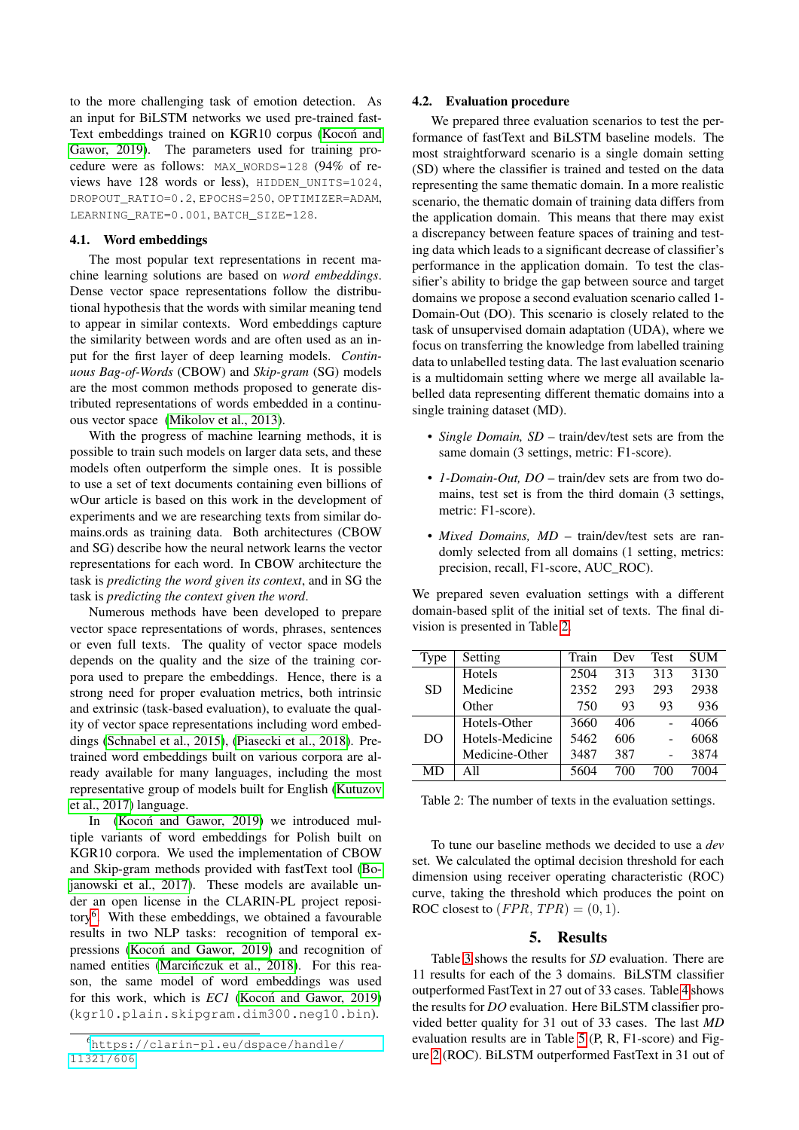to the more challenging task of emotion detection. As an input for BiLSTM networks we used pre-trained fast-Text embeddings trained on KGR10 corpus [\(Kocon and](#page-6-11) [Gawor, 2019\)](#page-6-11). The parameters used for training procedure were as follows: MAX\_WORDS=128 (94% of reviews have 128 words or less), HIDDEN\_UNITS=1024, DROPOUT\_RATIO=0.2, EPOCHS=250, OPTIMIZER=ADAM, LEARNING\_RATE=0.001, BATCH\_SIZE=128.

### <span id="page-3-0"></span>4.1. Word embeddings

The most popular text representations in recent machine learning solutions are based on *word embeddings*. Dense vector space representations follow the distributional hypothesis that the words with similar meaning tend to appear in similar contexts. Word embeddings capture the similarity between words and are often used as an input for the first layer of deep learning models. *Continuous Bag-of-Words* (CBOW) and *Skip-gram* (SG) models are the most common methods proposed to generate distributed representations of words embedded in a continuous vector space [\(Mikolov et al., 2013\)](#page-6-14).

With the progress of machine learning methods, it is possible to train such models on larger data sets, and these models often outperform the simple ones. It is possible to use a set of text documents containing even billions of wOur article is based on this work in the development of experiments and we are researching texts from similar domains.ords as training data. Both architectures (CBOW and SG) describe how the neural network learns the vector representations for each word. In CBOW architecture the task is *predicting the word given its context*, and in SG the task is *predicting the context given the word*.

Numerous methods have been developed to prepare vector space representations of words, phrases, sentences or even full texts. The quality of vector space models depends on the quality and the size of the training corpora used to prepare the embeddings. Hence, there is a strong need for proper evaluation metrics, both intrinsic and extrinsic (task-based evaluation), to evaluate the quality of vector space representations including word embeddings [\(Schnabel et al., 2015\)](#page-6-15), [\(Piasecki et al., 2018\)](#page-6-16). Pretrained word embeddings built on various corpora are already available for many languages, including the most representative group of models built for English [\(Kutuzov](#page-6-17) [et al., 2017\)](#page-6-17) language.

In [\(Kocon and Gawor, 2019\)](#page-6-11) we introduced multiple variants of word embeddings for Polish built on KGR10 corpora. We used the implementation of CBOW and Skip-gram methods provided with fastText tool [\(Bo](#page-5-5)[janowski et al., 2017\)](#page-5-5). These models are available under an open license in the CLARIN-PL project reposi-tory<sup>[6](#page-3-1)</sup>. With these embeddings, we obtained a favourable results in two NLP tasks: recognition of temporal ex-pressions [\(Kocon and Gawor, 2019\)](#page-6-11) and recognition of named entities (Marcińczuk et al., 2018). For this reason, the same model of word embeddings was used for this work, which is *EC1* [\(Kocon and Gawor, 2019\)](#page-6-11) (kgr10.plain.skipgram.dim300.neg10.bin).

#### 4.2. Evaluation procedure

We prepared three evaluation scenarios to test the performance of fastText and BiLSTM baseline models. The most straightforward scenario is a single domain setting (SD) where the classifier is trained and tested on the data representing the same thematic domain. In a more realistic scenario, the thematic domain of training data differs from the application domain. This means that there may exist a discrepancy between feature spaces of training and testing data which leads to a significant decrease of classifier's performance in the application domain. To test the classifier's ability to bridge the gap between source and target domains we propose a second evaluation scenario called 1- Domain-Out (DO). This scenario is closely related to the task of unsupervised domain adaptation (UDA), where we focus on transferring the knowledge from labelled training data to unlabelled testing data. The last evaluation scenario is a multidomain setting where we merge all available labelled data representing different thematic domains into a single training dataset (MD).

- *Single Domain, SD* train/dev/test sets are from the same domain (3 settings, metric: F1-score).
- *1-Domain-Out, DO* train/dev sets are from two domains, test set is from the third domain (3 settings, metric: F1-score).
- *Mixed Domains, MD* train/dev/test sets are randomly selected from all domains (1 setting, metrics: precision, recall, F1-score, AUC\_ROC).

We prepared seven evaluation settings with a different domain-based split of the initial set of texts. The final division is presented in Table [2.](#page-3-2)

| Type      | Setting         | Train | Dev | <b>Test</b> | <b>SUM</b> |
|-----------|-----------------|-------|-----|-------------|------------|
|           | Hotels          | 2504  | 313 | 313         | 3130       |
| <b>SD</b> | Medicine        | 2352  | 293 | 293         | 2938       |
|           | Other           | 750   | 93  | 93          | 936        |
|           | Hotels-Other    | 3660  | 406 |             | 4066       |
| DO        | Hotels-Medicine | 5462  | 606 |             | 6068       |
|           | Medicine-Other  | 3487  | 387 |             | 3874       |
| MD        | A11             | 5604  | 700 | 700         | 7004       |

<span id="page-3-2"></span>Table 2: The number of texts in the evaluation settings.

To tune our baseline methods we decided to use a *dev* set. We calculated the optimal decision threshold for each dimension using receiver operating characteristic (ROC) curve, taking the threshold which produces the point on ROC closest to  $(FPR, TPR) = (0, 1)$ .

### 5. Results

Table [3](#page-5-10) shows the results for *SD* evaluation. There are 11 results for each of the 3 domains. BiLSTM classifier outperformed FastText in 27 out of 33 cases. Table [4](#page-5-11) shows the results for *DO* evaluation. Here BiLSTM classifier provided better quality for 31 out of 33 cases. The last *MD* evaluation results are in Table [5](#page-5-12) (P, R, F1-score) and Figure [2](#page-4-1) (ROC). BiLSTM outperformed FastText in 31 out of

<span id="page-3-1"></span><sup>6</sup>[https://clarin-pl.eu/dspace/handle/](https://clarin-pl.eu/dspace/handle/11321/606) [11321/606](https://clarin-pl.eu/dspace/handle/11321/606)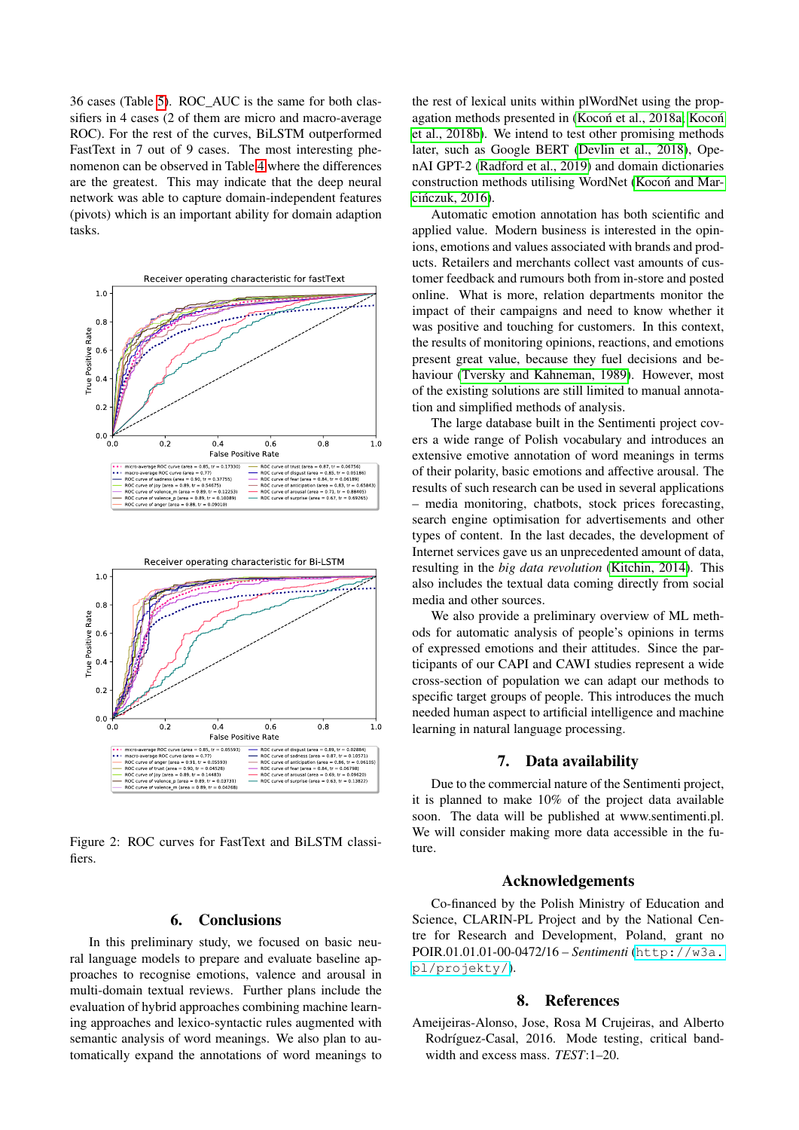36 cases (Table [5\)](#page-5-12). ROC\_AUC is the same for both classifiers in 4 cases (2 of them are micro and macro-average ROC). For the rest of the curves, BiLSTM outperformed FastText in 7 out of 9 cases. The most interesting phenomenon can be observed in Table [4](#page-5-11) where the differences are the greatest. This may indicate that the deep neural network was able to capture domain-independent features (pivots) which is an important ability for domain adaption tasks.





<span id="page-4-1"></span>Figure 2: ROC curves for FastText and BiLSTM classifiers.

## 6. Conclusions

In this preliminary study, we focused on basic neural language models to prepare and evaluate baseline approaches to recognise emotions, valence and arousal in multi-domain textual reviews. Further plans include the evaluation of hybrid approaches combining machine learning approaches and lexico-syntactic rules augmented with semantic analysis of word meanings. We also plan to automatically expand the annotations of word meanings to the rest of lexical units within plWordNet using the prop-agation methods presented in (Kocoń et al., 2018a; [Koco](#page-6-20)ń [et al., 2018b\)](#page-6-20). We intend to test other promising methods later, such as Google BERT [\(Devlin et al., 2018\)](#page-5-13), OpenAI GPT-2 [\(Radford et al., 2019\)](#page-6-21) and domain dictionaries construction methods utilising WordNet [\(Kocon and Mar-](#page-6-22) ´ cińczuk, 2016).

Automatic emotion annotation has both scientific and applied value. Modern business is interested in the opinions, emotions and values associated with brands and products. Retailers and merchants collect vast amounts of customer feedback and rumours both from in-store and posted online. What is more, relation departments monitor the impact of their campaigns and need to know whether it was positive and touching for customers. In this context, the results of monitoring opinions, reactions, and emotions present great value, because they fuel decisions and behaviour [\(Tversky and Kahneman, 1989\)](#page-6-23). However, most of the existing solutions are still limited to manual annotation and simplified methods of analysis.

The large database built in the Sentimenti project covers a wide range of Polish vocabulary and introduces an extensive emotive annotation of word meanings in terms of their polarity, basic emotions and affective arousal. The results of such research can be used in several applications – media monitoring, chatbots, stock prices forecasting, search engine optimisation for advertisements and other types of content. In the last decades, the development of Internet services gave us an unprecedented amount of data, resulting in the *big data revolution* [\(Kitchin, 2014\)](#page-6-24). This also includes the textual data coming directly from social media and other sources.

We also provide a preliminary overview of ML methods for automatic analysis of people's opinions in terms of expressed emotions and their attitudes. Since the participants of our CAPI and CAWI studies represent a wide cross-section of population we can adapt our methods to specific target groups of people. This introduces the much needed human aspect to artificial intelligence and machine learning in natural language processing.

## 7. Data availability

Due to the commercial nature of the Sentimenti project, it is planned to make 10% of the project data available soon. The data will be published at www.sentimenti.pl. We will consider making more data accessible in the future.

#### Acknowledgements

Co-financed by the Polish Ministry of Education and Science, CLARIN-PL Project and by the National Centre for Research and Development, Poland, grant no POIR.01.01.01-00-0472/16 – *Sentimenti* ([http://w3a.](http://w3a.pl/projekty/) [pl/projekty/](http://w3a.pl/projekty/)).

#### 8. References

<span id="page-4-0"></span>Ameijeiras-Alonso, Jose, Rosa M Crujeiras, and Alberto Rodríguez-Casal, 2016. Mode testing, critical bandwidth and excess mass. *TEST*:1–20.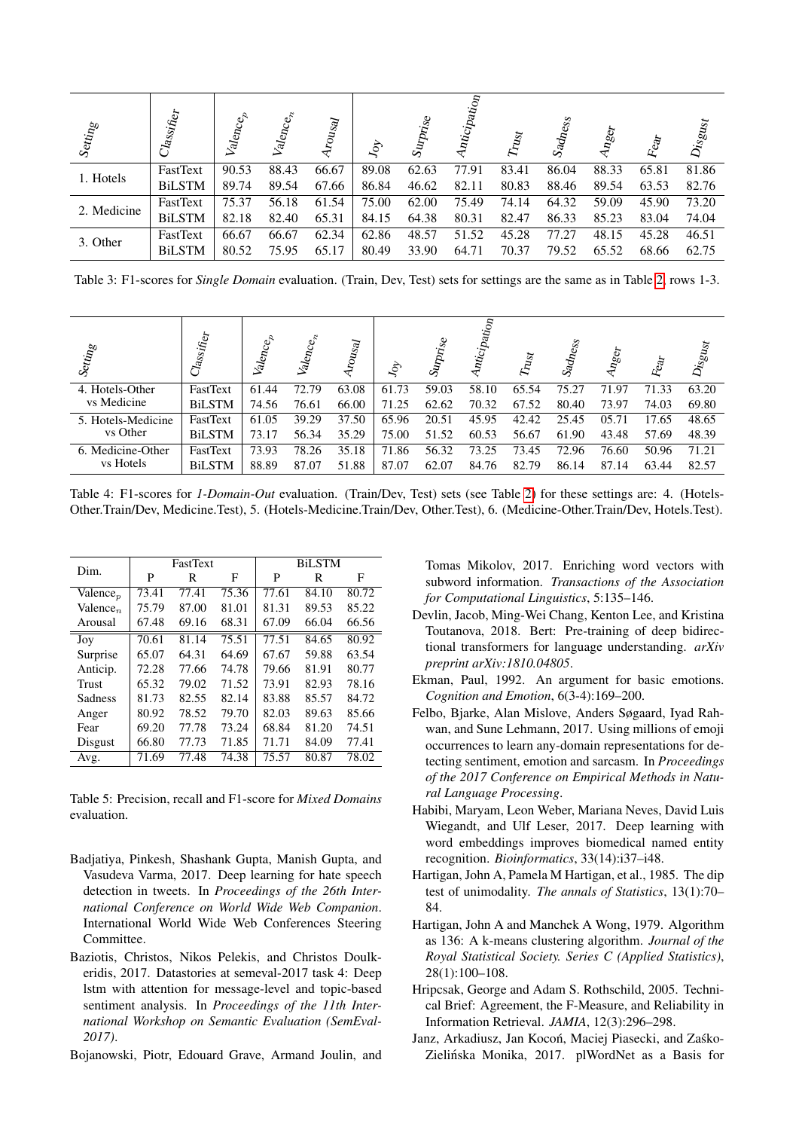| $\mathit{Setting}$ | $\mathrm{C}l_{{\mathrm {as}}_{{\mathrm {Sif}}_{{\mathrm{f}}\mathrm{c}_T}}}$ | Valencep | Valence, | rousal | $\mathcal{S}$ | $\mathcal{S}_{4}$ | <i><b>hticipation</b></i><br>↽ | $\tau_{\rm tag}$ | $\sqrt{S_{\rm 3d}}_{\rm degS}$ | $n_{\mathcal{S}\mathcal{C}\mathcal{T}}$ | Eat   | $D_{\mathit{isg}_{\mathit{Ust}}}$ |
|--------------------|-----------------------------------------------------------------------------|----------|----------|--------|---------------|-------------------|--------------------------------|------------------|--------------------------------|-----------------------------------------|-------|-----------------------------------|
| 1. Hotels          | FastText                                                                    | 90.53    | 88.43    | 66.67  | 89.08         | 62.63             | 77.91                          | 83.41            | 86.04                          | 88.33                                   | 65.81 | 81.86                             |
|                    | <b>BiLSTM</b>                                                               | 89.74    | 89.54    | 67.66  | 86.84         | 46.62             | 82.11                          | 80.83            | 88.46                          | 89.54                                   | 63.53 | 82.76                             |
| 2. Medicine        | FastText                                                                    | 75.37    | 56.18    | 61.54  | 75.00         | 62.00             | 75.49                          | 74.14            | 64.32                          | 59.09                                   | 45.90 | 73.20                             |
|                    | <b>BiLSTM</b>                                                               | 82.18    | 82.40    | 65.31  | 84.15         | 64.38             | 80.31                          | 82.47            | 86.33                          | 85.23                                   | 83.04 | 74.04                             |
| 3. Other           | FastText                                                                    | 66.67    | 66.67    | 62.34  | 62.86         | 48.57             | 51.52                          | 45.28            | 77.27                          | 48.15                                   | 45.28 | 46.51                             |
|                    | <b>BiLSTM</b>                                                               | 80.52    | 75.95    | 65.17  | 80.49         | 33.90             | 64.71                          | 70.37            | 79.52                          | 65.52                                   | 68.66 | 62.75                             |

<span id="page-5-10"></span>Table 3: F1-scores for *Single Domain* evaluation. (Train, Dev, Test) sets for settings are the same as in Table [2,](#page-3-2) rows 1-3.

| Setting            | $Class$ ifier | Valencep | Valence, | rousal | $\mathcal{S}$ | $\mathcal{S}_{\textit{U} \textit{P} \textit{tr}_\textit{S} \textit{c}}$ | Anticipation | $T_{\rm H_{2f}}$ | $\sqrt{S_{\rm 3d}}$ | $Rg_{C}$<br>₹ | Fear  | $\mathcal{D}_\textit{iSgug}$ |
|--------------------|---------------|----------|----------|--------|---------------|-------------------------------------------------------------------------|--------------|------------------|---------------------|---------------|-------|------------------------------|
| 4. Hotels-Other    | FastText      | 61.44    | 72.79    | 63.08  | 61.73         | 59.03                                                                   | 58.10        | 65.54            | 75.27               | 71.97         | 71.33 | 63.20                        |
| vs Medicine        | <b>BiLSTM</b> | 74.56    | 76.61    | 66.00  | 71.25         | 62.62                                                                   | 70.32        | 67.52            | 80.40               | 73.97         | 74.03 | 69.80                        |
| 5. Hotels-Medicine | FastText      | 61.05    | 39.29    | 37.50  | 65.96         | 20.51                                                                   | 45.95        | 42.42            | 25.45               | 05.71         | 17.65 | 48.65                        |
| vs Other           | <b>BiLSTM</b> | 73.17    | 56.34    | 35.29  | 75.00         | 51.52                                                                   | 60.53        | 56.67            | 61.90               | 43.48         | 57.69 | 48.39                        |
| 6. Medicine-Other  | FastText      | 73.93    | 78.26    | 35.18  | 71.86         | 56.32                                                                   | 73.25        | 73.45            | 72.96               | 76.60         | 50.96 | 71.21                        |
| vs Hotels          | <b>BiLSTM</b> | 88.89    | 87.07    | 51.88  | 87.07         | 62.07                                                                   | 84.76        | 82.79            | 86.14               | 87.14         | 63.44 | 82.57                        |

<span id="page-5-11"></span>Table 4: F1-scores for *1-Domain-Out* evaluation. (Train/Dev, Test) sets (see Table [2\)](#page-3-2) for these settings are: 4. (Hotels-Other.Train/Dev, Medicine.Test), 5. (Hotels-Medicine.Train/Dev, Other.Test), 6. (Medicine-Other.Train/Dev, Hotels.Test).

| Dim.                 |       | FastText |       | <b>BiLSTM</b> |       |       |  |  |
|----------------------|-------|----------|-------|---------------|-------|-------|--|--|
|                      | P     | R        | F     | P             | R     | F     |  |  |
| Valence <sub>n</sub> | 73.41 | 77.41    | 75.36 | 77.61         | 84.10 | 80.72 |  |  |
| $Valence_n$          | 75.79 | 87.00    | 81.01 | 81.31         | 89.53 | 85.22 |  |  |
| Arousal              | 67.48 | 69.16    | 68.31 | 67.09         | 66.04 | 66.56 |  |  |
| Joy                  | 70.61 | 81.14    | 75.51 | 77.51         | 84.65 | 80.92 |  |  |
| Surprise             | 65.07 | 64.31    | 64.69 | 67.67         | 59.88 | 63.54 |  |  |
| Anticip.             | 72.28 | 77.66    | 74.78 | 79.66         | 81.91 | 80.77 |  |  |
| Trust                | 65.32 | 79.02    | 71.52 | 73.91         | 82.93 | 78.16 |  |  |
| Sadness              | 81.73 | 82.55    | 82.14 | 83.88         | 85.57 | 84.72 |  |  |
| Anger                | 80.92 | 78.52    | 79.70 | 82.03         | 89.63 | 85.66 |  |  |
| Fear                 | 69.20 | 77.78    | 73.24 | 68.84         | 81.20 | 74.51 |  |  |
| Disgust              | 66.80 | 77.73    | 71.85 | 71.71         | 84.09 | 77.41 |  |  |
| Avg.                 | 71.69 | 77.48    | 74.38 | 75.57         | 80.87 | 78.02 |  |  |

<span id="page-5-12"></span>Table 5: Precision, recall and F1-score for *Mixed Domains* evaluation.

- <span id="page-5-6"></span>Badjatiya, Pinkesh, Shashank Gupta, Manish Gupta, and Vasudeva Varma, 2017. Deep learning for hate speech detection in tweets. In *Proceedings of the 26th International Conference on World Wide Web Companion*. International World Wide Web Conferences Steering Committee.
- <span id="page-5-9"></span>Baziotis, Christos, Nikos Pelekis, and Christos Doulkeridis, 2017. Datastories at semeval-2017 task 4: Deep lstm with attention for message-level and topic-based sentiment analysis. In *Proceedings of the 11th International Workshop on Semantic Evaluation (SemEval-2017)*.
- <span id="page-5-5"></span>Bojanowski, Piotr, Edouard Grave, Armand Joulin, and

Tomas Mikolov, 2017. Enriching word vectors with subword information. *Transactions of the Association for Computational Linguistics*, 5:135–146.

- <span id="page-5-13"></span>Devlin, Jacob, Ming-Wei Chang, Kenton Lee, and Kristina Toutanova, 2018. Bert: Pre-training of deep bidirectional transformers for language understanding. *arXiv preprint arXiv:1810.04805*.
- <span id="page-5-0"></span>Ekman, Paul, 1992. An argument for basic emotions. *Cognition and Emotion*, 6(3-4):169–200.
- <span id="page-5-7"></span>Felbo, Bjarke, Alan Mislove, Anders Søgaard, Iyad Rahwan, and Sune Lehmann, 2017. Using millions of emoji occurrences to learn any-domain representations for detecting sentiment, emotion and sarcasm. In *Proceedings of the 2017 Conference on Empirical Methods in Natural Language Processing*.
- <span id="page-5-8"></span>Habibi, Maryam, Leon Weber, Mariana Neves, David Luis Wiegandt, and Ulf Leser, 2017. Deep learning with word embeddings improves biomedical named entity recognition. *Bioinformatics*, 33(14):i37–i48.
- <span id="page-5-3"></span>Hartigan, John A, Pamela M Hartigan, et al., 1985. The dip test of unimodality. *The annals of Statistics*, 13(1):70– 84.
- <span id="page-5-4"></span>Hartigan, John A and Manchek A Wong, 1979. Algorithm as 136: A k-means clustering algorithm. *Journal of the Royal Statistical Society. Series C (Applied Statistics)*, 28(1):100–108.
- <span id="page-5-1"></span>Hripcsak, George and Adam S. Rothschild, 2005. Technical Brief: Agreement, the F-Measure, and Reliability in Information Retrieval. *JAMIA*, 12(3):296–298.
- <span id="page-5-2"></span>Janz, Arkadiusz, Jan Kocoń, Maciej Piasecki, and Zaśko-Zielinska Monika, 2017. plWordNet as a Basis for ´